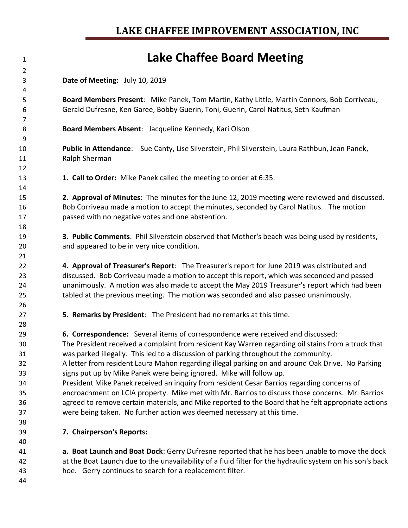## **Lake Chaffee Board Meeting**

**Date of Meeting:** July 10, 2019

 **Board Members Present**: Mike Panek, Tom Martin, Kathy Little, Martin Connors, Bob Corriveau, Gerald Dufresne, Ken Garee, Bobby Guerin, Toni, Guerin, Carol Natitus, Seth Kaufman

**Board Members Absent**: Jacqueline Kennedy, Kari Olson

 **Public in Attendance**: Sue Canty, Lise Silverstein, Phil Silverstein, Laura Rathbun, Jean Panek, Ralph Sherman

**1. Call to Order:** Mike Panek called the meeting to order at 6:35.

 **2. Approval of Minutes**: The minutes for the June 12, 2019 meeting were reviewed and discussed. Bob Corriveau made a motion to accept the minutes, seconded by Carol Natitus. The motion passed with no negative votes and one abstention.

 **3. Public Comments**. Phil Silverstein observed that Mother's beach was being used by residents, and appeared to be in very nice condition.

 **4. Approval of Treasurer's Report**: The Treasurer's report for June 2019 was distributed and discussed. Bob Corriveau made a motion to accept this report, which was seconded and passed unanimously. A motion was also made to accept the May 2019 Treasurer's report which had been tabled at the previous meeting. The motion was seconded and also passed unanimously.

**5. Remarks by President**: The President had no remarks at this time.

**6. Correspondence:** Several items of correspondence were received and discussed:

 The President received a complaint from resident Kay Warren regarding oil stains from a truck that was parked illegally. This led to a discussion of parking throughout the community.

 A letter from resident Laura Mahon regarding illegal parking on and around Oak Drive. No Parking signs put up by Mike Panek were being ignored. Mike will follow up.

 President Mike Panek received an inquiry from resident Cesar Barrios regarding concerns of encroachment on LCIA property. Mike met with Mr. Barrios to discuss those concerns. Mr. Barrios agreed to remove certain materials, and Mike reported to the Board that he felt appropriate actions were being taken. No further action was deemed necessary at this time.

**7. Chairperson's Reports:**

 **a. Boat Launch and Boat Dock**: Gerry Dufresne reported that he has been unable to move the dock at the Boat Launch due to the unavailability of a fluid filter for the hydraulic system on his son's back hoe. Gerry continues to search for a replacement filter.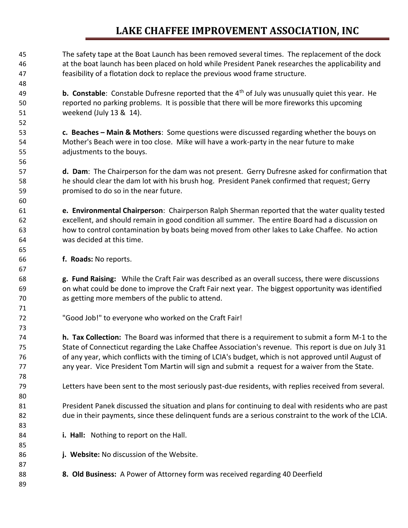## **LAKE CHAFFEE IMPROVEMENT ASSOCIATION, INC**

 The safety tape at the Boat Launch has been removed several times. The replacement of the dock at the boat launch has been placed on hold while President Panek researches the applicability and feasibility of a flotation dock to replace the previous wood frame structure.

**b. Constable**: Constable Dufresne reported that the 4<sup>th</sup> of July was unusually quiet this year. He reported no parking problems. It is possible that there will be more fireworks this upcoming weekend (July 13 & 14).

 **c. Beaches – Main & Mothers**: Some questions were discussed regarding whether the bouys on Mother's Beach were in too close. Mike will have a work-party in the near future to make adjustments to the bouys.

 **d. Dam**: The Chairperson for the dam was not present. Gerry Dufresne asked for confirmation that he should clear the dam lot with his brush hog. President Panek confirmed that request; Gerry promised to do so in the near future.

 **e. Environmental Chairperson**: Chairperson Ralph Sherman reported that the water quality tested excellent, and should remain in good condition all summer. The entire Board had a discussion on how to control contamination by boats being moved from other lakes to Lake Chaffee. No action was decided at this time.

**f. Roads:** No reports.

 **g. Fund Raising:** While the Craft Fair was described as an overall success, there were discussions on what could be done to improve the Craft Fair next year. The biggest opportunity was identified as getting more members of the public to attend.

"Good Job!" to everyone who worked on the Craft Fair!

 **h. Tax Collection:** The Board was informed that there is a requirement to submit a form M-1 to the State of Connecticut regarding the Lake Chaffee Association's revenue. This report is due on July 31 of any year, which conflicts with the timing of LCIA's budget, which is not approved until August of any year. Vice President Tom Martin will sign and submit a request for a waiver from the State.

Letters have been sent to the most seriously past-due residents, with replies received from several.

 President Panek discussed the situation and plans for continuing to deal with residents who are past due in their payments, since these delinquent funds are a serious constraint to the work of the LCIA.

- **i. Hall:** Nothing to report on the Hall.
- **j. Website:** No discussion of the Website.
- **8. Old Business:** A Power of Attorney form was received regarding 40 Deerfield
-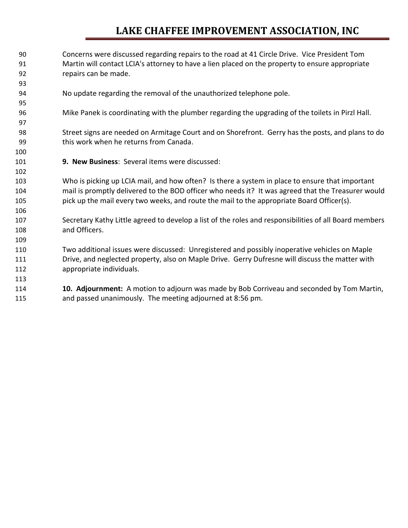## **LAKE CHAFFEE IMPROVEMENT ASSOCIATION, INC**

- Concerns were discussed regarding repairs to the road at 41 Circle Drive. Vice President Tom Martin will contact LCIA's attorney to have a lien placed on the property to ensure appropriate repairs can be made. No update regarding the removal of the unauthorized telephone pole. Mike Panek is coordinating with the plumber regarding the upgrading of the toilets in Pirzl Hall. Street signs are needed on Armitage Court and on Shorefront. Gerry has the posts, and plans to do this work when he returns from Canada. **9. New Business**: Several items were discussed: Who is picking up LCIA mail, and how often? Is there a system in place to ensure that important mail is promptly delivered to the BOD officer who needs it? It was agreed that the Treasurer would pick up the mail every two weeks, and route the mail to the appropriate Board Officer(s). Secretary Kathy Little agreed to develop a list of the roles and responsibilities of all Board members and Officers. Two additional issues were discussed: Unregistered and possibly inoperative vehicles on Maple Drive, and neglected property, also on Maple Drive. Gerry Dufresne will discuss the matter with appropriate individuals. **10. Adjournment:** A motion to adjourn was made by Bob Corriveau and seconded by Tom Martin,
- and passed unanimously. The meeting adjourned at 8:56 pm.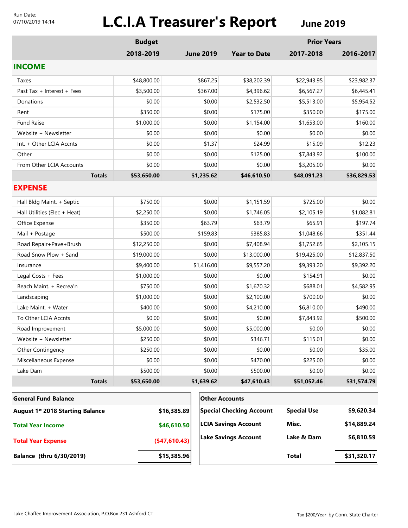#### Run Date: 07/10/2019 14:14

# **L.C.I.A Treasurer's Report June 2019**

|                                              | <b>Budget</b> |                  |                                 | <b>Prior Years</b> |             |  |
|----------------------------------------------|---------------|------------------|---------------------------------|--------------------|-------------|--|
|                                              | 2018-2019     | <b>June 2019</b> | <b>Year to Date</b>             | 2017-2018          | 2016-2017   |  |
| <b>INCOME</b>                                |               |                  |                                 |                    |             |  |
| Taxes                                        | \$48,800.00   | \$867.25         | \$38,202.39                     | \$22,943.95        | \$23,982.37 |  |
| Past Tax + Interest + Fees                   | \$3,500.00    | \$367.00         | \$4,396.62                      | \$6,567.27         | \$6,445.41  |  |
| Donations                                    | \$0.00        | \$0.00           | \$2,532.50                      | \$5,513.00         | \$5,954.52  |  |
| Rent                                         | \$350.00      | \$0.00           | \$175.00                        | \$350.00           | \$175.00    |  |
| <b>Fund Raise</b>                            | \$1,000.00    | \$0.00           | \$1,154.00                      | \$1,653.00         | \$160.00    |  |
| Website + Newsletter                         | \$0.00        | \$0.00           | \$0.00                          | \$0.00             | \$0.00      |  |
| Int. + Other LCIA Accnts                     | \$0.00        | \$1.37           | \$24.99                         | \$15.09            | \$12.23     |  |
| Other                                        | \$0.00        | \$0.00           | \$125.00                        | \$7,843.92         | \$100.00    |  |
| From Other LCIA Accounts                     | \$0.00        | \$0.00           | \$0.00                          | \$3,205.00         | \$0.00      |  |
| <b>Totals</b>                                | \$53,650.00   | \$1,235.62       | \$46,610.50                     | \$48,091.23        | \$36,829.53 |  |
| <b>EXPENSE</b>                               |               |                  |                                 |                    |             |  |
| Hall Bldg Maint. + Septic                    | \$750.00      | \$0.00           | \$1,151.59                      | \$725.00           | \$0.00      |  |
| Hall Utilities (Elec + Heat)                 | \$2,250.00    | \$0.00           | \$1,746.05                      | \$2,105.19         | \$1,082.81  |  |
| Office Expense                               | \$350.00      | \$63.79          | \$63.79                         | \$65.91            | \$197.74    |  |
| Mail + Postage                               | \$500.00      | \$159.83         | \$385.83                        | \$1,048.66         | \$351.44    |  |
| Road Repair+Pave+Brush                       | \$12,250.00   | \$0.00           | \$7,408.94                      | \$1,752.65         | \$2,105.15  |  |
| Road Snow Plow + Sand                        | \$19,000.00   | \$0.00           | \$13,000.00                     | \$19,425.00        | \$12,837.50 |  |
| Insurance                                    | \$9,400.00    | \$1,416.00       | \$9,557.20                      | \$9,393.20         | \$9,392.20  |  |
| Legal Costs + Fees                           | \$1,000.00    | \$0.00           | \$0.00                          | \$154.91           | \$0.00      |  |
| Beach Maint. + Recrea'n                      | \$750.00      | \$0.00           | \$1,670.32                      | \$688.01           | \$4,582.95  |  |
| Landscaping                                  | \$1,000.00    | \$0.00           | \$2,100.00                      | \$700.00           | \$0.00      |  |
| Lake Maint. + Water                          | \$400.00      | \$0.00           | \$4,210.00                      | \$6,810.00         | \$490.00    |  |
| To Other LCIA Accnts                         | \$0.00        | \$0.00           | \$0.00                          | \$7,843.92         | \$500.00    |  |
| Road Improvement                             | \$5,000.00    | \$0.00           | \$5,000.00                      | \$0.00             | \$0.00      |  |
| Website + Newsletter                         | \$250.00      | \$0.00           | \$346.71                        | \$115.01           | \$0.00      |  |
| <b>Other Contingency</b>                     | \$250.00      | \$0.00           | \$0.00                          | \$0.00             | \$35.00     |  |
| Miscellaneous Expense                        | \$0.00        | \$0.00           | \$470.00                        | \$225.00           | \$0.00      |  |
| Lake Dam                                     | \$500.00      | \$0.00           | \$500.00                        | \$0.00             | \$0.00      |  |
| <b>Totals</b>                                | \$53,650.00   | \$1,639.62       | \$47,610.43                     | \$51,052.46        | \$31,574.79 |  |
| <b>General Fund Balance</b>                  |               |                  | <b>Other Accounts</b>           |                    |             |  |
| August 1 <sup>st</sup> 2018 Starting Balance | \$16,385.89   |                  | <b>Special Checking Account</b> | <b>Special Use</b> | \$9,620.34  |  |
| <b>Total Year Income</b>                     | \$46,610.50   |                  | <b>LCIA Savings Account</b>     | Misc.              | \$14,889.24 |  |
|                                              |               |                  | <b>Lake Savings Account</b>     | Lake & Dam         | \$6,810.59  |  |

**(\$47,610.43)**

**Balance (thru 6/30/2019) \$15,385.96**

**Total Year Expense**

**Total \$31,320.17**